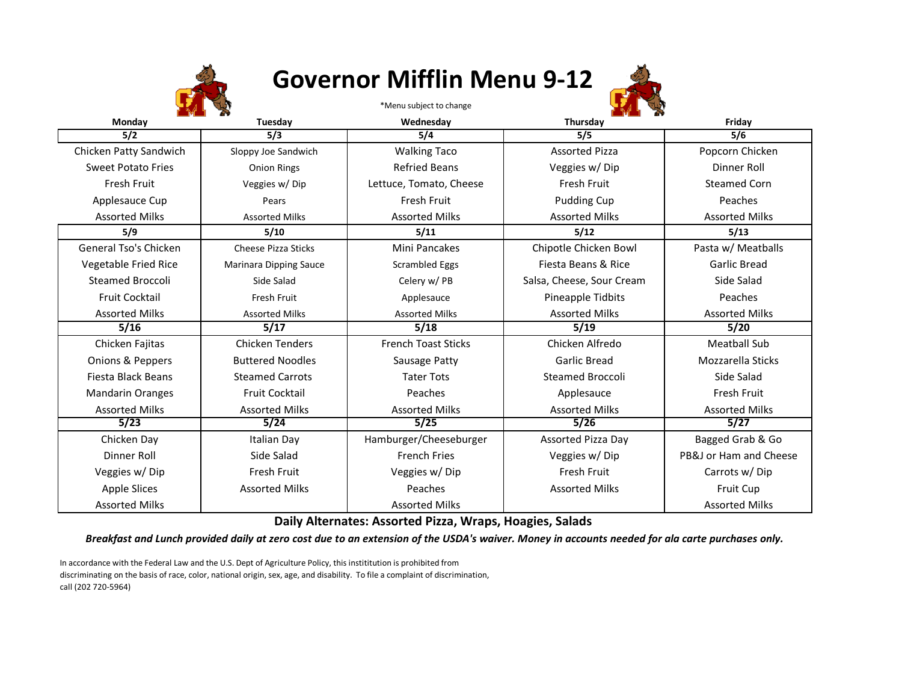

## **Governor Mifflin Menu 9-12**

\*Menu subject to change



| Monday                      | Tuesday                    | Wednesday                  | Thursday                  | Friday                 |
|-----------------------------|----------------------------|----------------------------|---------------------------|------------------------|
| 5/2                         | 5/3                        | 5/4                        | 5/5                       | 5/6                    |
| Chicken Patty Sandwich      | Sloppy Joe Sandwich        | <b>Walking Taco</b>        | <b>Assorted Pizza</b>     | Popcorn Chicken        |
| <b>Sweet Potato Fries</b>   | <b>Onion Rings</b>         | <b>Refried Beans</b>       | Veggies w/Dip             | Dinner Roll            |
| Fresh Fruit                 | Veggies w/Dip              | Lettuce, Tomato, Cheese    | Fresh Fruit               | <b>Steamed Corn</b>    |
| Applesauce Cup              | Pears                      | Fresh Fruit                | Pudding Cup               | Peaches                |
| <b>Assorted Milks</b>       | <b>Assorted Milks</b>      | <b>Assorted Milks</b>      | <b>Assorted Milks</b>     | <b>Assorted Milks</b>  |
| 5/9                         | 5/10                       | 5/11                       | 5/12                      | 5/13                   |
| General Tso's Chicken       | <b>Cheese Pizza Sticks</b> | Mini Pancakes              | Chipotle Chicken Bowl     | Pasta w/ Meatballs     |
| <b>Vegetable Fried Rice</b> | Marinara Dipping Sauce     | Scrambled Eggs             | Fiesta Beans & Rice       | Garlic Bread           |
| <b>Steamed Broccoli</b>     | Side Salad                 | Celery w/ PB               | Salsa, Cheese, Sour Cream | Side Salad             |
| <b>Fruit Cocktail</b>       | Fresh Fruit                | Applesauce                 | Pineapple Tidbits         | Peaches                |
| <b>Assorted Milks</b>       | <b>Assorted Milks</b>      | <b>Assorted Milks</b>      | <b>Assorted Milks</b>     | <b>Assorted Milks</b>  |
| 5/16                        | 5/17                       | 5/18                       | 5/19                      | 5/20                   |
| Chicken Fajitas             | <b>Chicken Tenders</b>     | <b>French Toast Sticks</b> | Chicken Alfredo           | <b>Meatball Sub</b>    |
| Onions & Peppers            | <b>Buttered Noodles</b>    | Sausage Patty              | Garlic Bread              | Mozzarella Sticks      |
| Fiesta Black Beans          | <b>Steamed Carrots</b>     | <b>Tater Tots</b>          | Steamed Broccoli          | Side Salad             |
| <b>Mandarin Oranges</b>     | <b>Fruit Cocktail</b>      | Peaches                    | Applesauce                | Fresh Fruit            |
| <b>Assorted Milks</b>       | <b>Assorted Milks</b>      | <b>Assorted Milks</b>      | <b>Assorted Milks</b>     | <b>Assorted Milks</b>  |
| 5/23                        | 5/24                       | 5/25                       | 5/26                      | 5/27                   |
| Chicken Day                 | <b>Italian Day</b>         | Hamburger/Cheeseburger     | Assorted Pizza Day        | Bagged Grab & Go       |
| Dinner Roll                 | Side Salad                 | <b>French Fries</b>        | Veggies w/Dip             | PB&J or Ham and Cheese |
| Veggies w/Dip               | Fresh Fruit                | Veggies w/Dip              | Fresh Fruit               | Carrots w/Dip          |
| <b>Apple Slices</b>         | <b>Assorted Milks</b>      | Peaches                    | <b>Assorted Milks</b>     | Fruit Cup              |
| <b>Assorted Milks</b>       |                            | <b>Assorted Milks</b>      |                           | <b>Assorted Milks</b>  |

**Daily Alternates: Assorted Pizza, Wraps, Hoagies, Salads**

*Breakfast and Lunch provided daily at zero cost due to an extension of the USDA's waiver. Money in accounts needed for ala carte purchases only.*

In accordance with the Federal Law and the U.S. Dept of Agriculture Policy, this instititution is prohibited from discriminating on the basis of race, color, national origin, sex, age, and disability. To file a complaint of discrimination, call (202 720-5964)